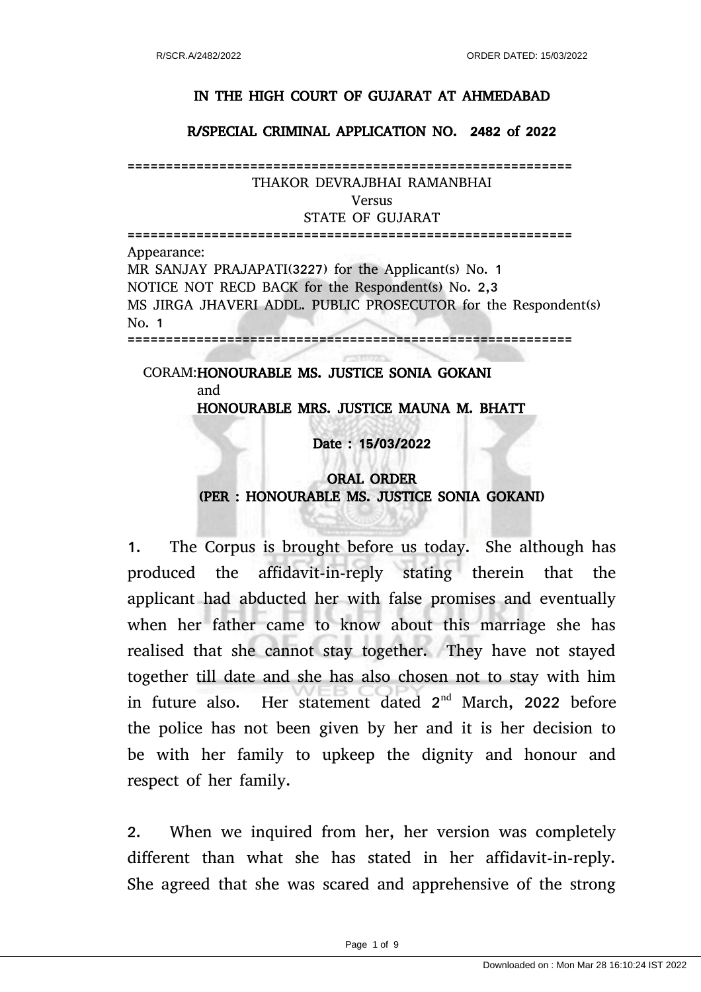## IN THE HIGH COURT OF GUJARAT AT AHMEDABAD

#### R/SPECIAL CRIMINAL APPLICATION NO. 2482 of 2022

========================================================== THAKOR DEVRAJBHAI RAMANBHAI

Versus

STATE OF GUJARAT

========================================================== Appearance: MR SANJAY PRAJAPATI(3227) for the Applicant(s) No. 1 NOTICE NOT RECD BACK for the Respondent(s) No. 2,3 MS JIRGA JHAVERI ADDL. PUBLIC PROSECUTOR for the Respondent(s) No. 1 ==========================================================

CORAM: HONOURABLE MS. JUSTICE SONIA GOKANI and

HONOURABLE MRS. JUSTICE MAUNA M. BHATT

Date : 15/03/2022

# ORAL ORDER (PER : HONOURABLE MS. JUSTICE SONIA GOKANI)

1. The Corpus is brought before us today. She although has produced the affidavit-in-reply stating therein that the applicant had abducted her with false promises and eventually when her father came to know about this marriage she has realised that she cannot stay together. They have not stayed together till date and she has also chosen not to stay with him in future also. Her statement dated  $2<sup>nd</sup>$  March, 2022 before the police has not been given by her and it is her decision to be with her family to upkeep the dignity and honour and respect of her family.

2. When we inquired from her, her version was completely different than what she has stated in her affidavit-in-reply. She agreed that she was scared and apprehensive of the strong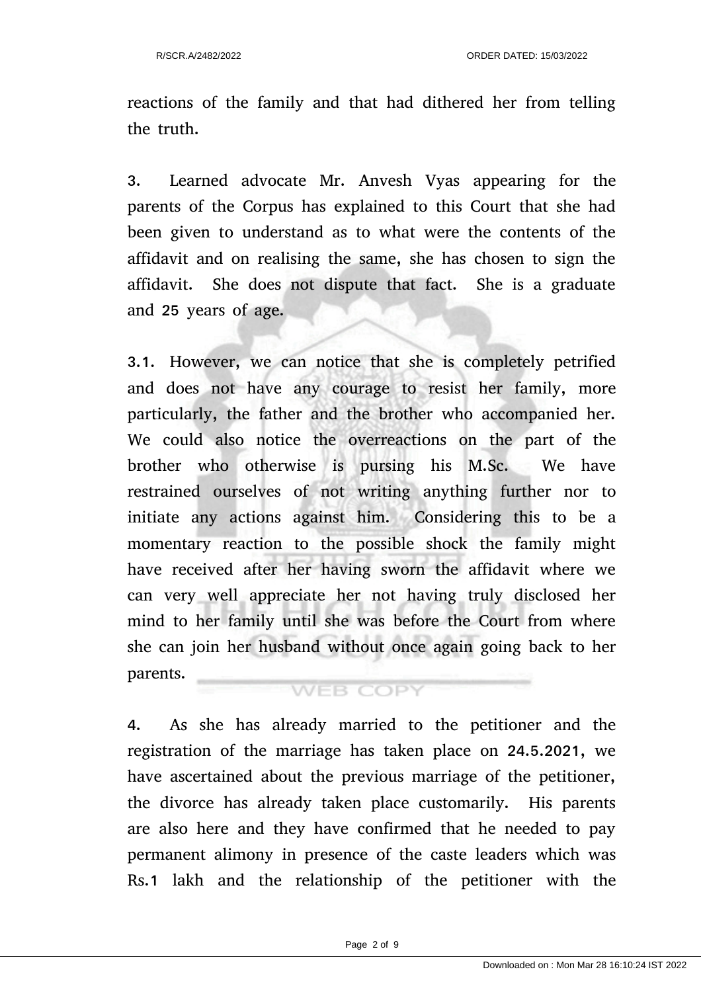reactions of the family and that had dithered her from telling the truth.

3. Learned advocate Mr. Anvesh Vyas appearing for the parents of the Corpus has explained to this Court that she had been given to understand as to what were the contents of the affidavit and on realising the same, she has chosen to sign the affidavit. She does not dispute that fact. She is a graduate and 25 years of age.

3.1. However, we can notice that she is completely petrified and does not have any courage to resist her family, more particularly, the father and the brother who accompanied her. We could also notice the overreactions on the part of the brother who otherwise is pursing his M.Sc. We have restrained ourselves of not writing anything further nor to initiate any actions against him. Considering this to be a momentary reaction to the possible shock the family might have received after her having sworn the affidavit where we can very well appreciate her not having truly disclosed her mind to her family until she was before the Court from where she can join her husband without once again going back to her parents. **WEB COPY** 

4. As she has already married to the petitioner and the registration of the marriage has taken place on 24.5.2021, we have ascertained about the previous marriage of the petitioner, the divorce has already taken place customarily. His parents are also here and they have confirmed that he needed to pay permanent alimony in presence of the caste leaders which was Rs.1 lakh and the relationship of the petitioner with the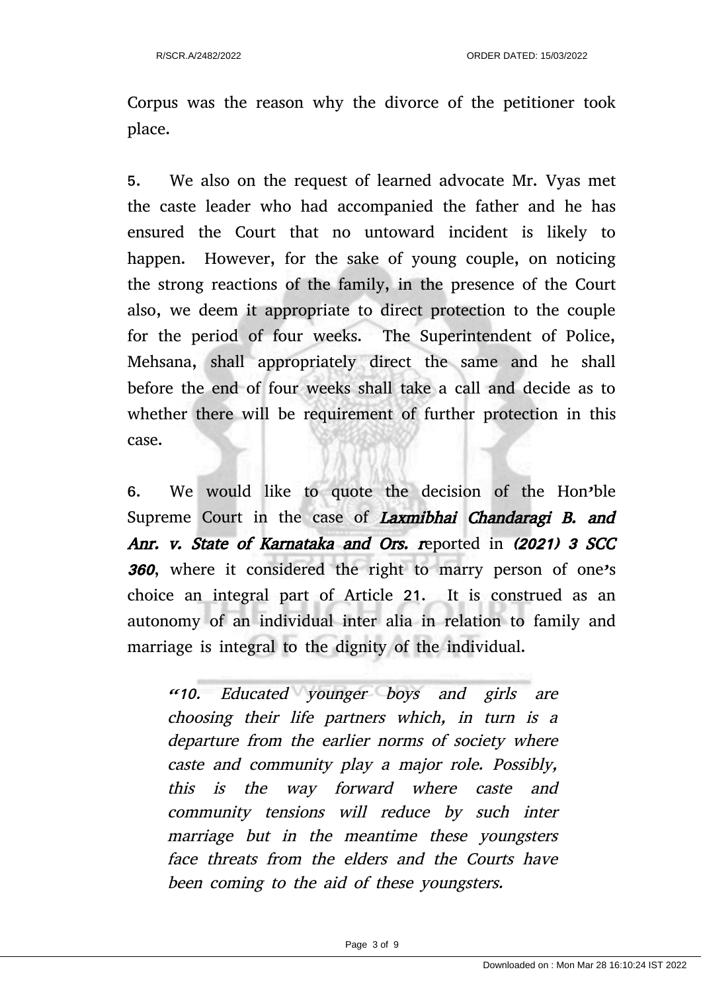Corpus was the reason why the divorce of the petitioner took place.

5. We also on the request of learned advocate Mr. Vyas met the caste leader who had accompanied the father and he has ensured the Court that no untoward incident is likely to happen. However, for the sake of young couple, on noticing the strong reactions of the family, in the presence of the Court also, we deem it appropriate to direct protection to the couple for the period of four weeks. The Superintendent of Police, Mehsana, shall appropriately direct the same and he shall before the end of four weeks shall take a call and decide as to whether there will be requirement of further protection in this case.

6. We would like to quote the decision of the Hon'ble Supreme Court in the case of Laxmibhai Chandaragi B. and Anr. v. State of Karnataka and Ors. reported in (2021) 3 SCC <sup>360</sup>, where it considered the right to marry person of one's choice an integral part of Article 21. It is construed as an autonomy of an individual inter alia in relation to family and marriage is integral to the dignity of the individual.

"10. Educated younger boys and girls are choosing their life partners which, in turn is <sup>a</sup> departure from the earlier norms of society where caste and community play a major role. Possibly, this is the way forward where caste and community tensions will reduce by such inter marriage but in the meantime these youngsters face threats from the elders and the Courts have been coming to the aid of these youngsters.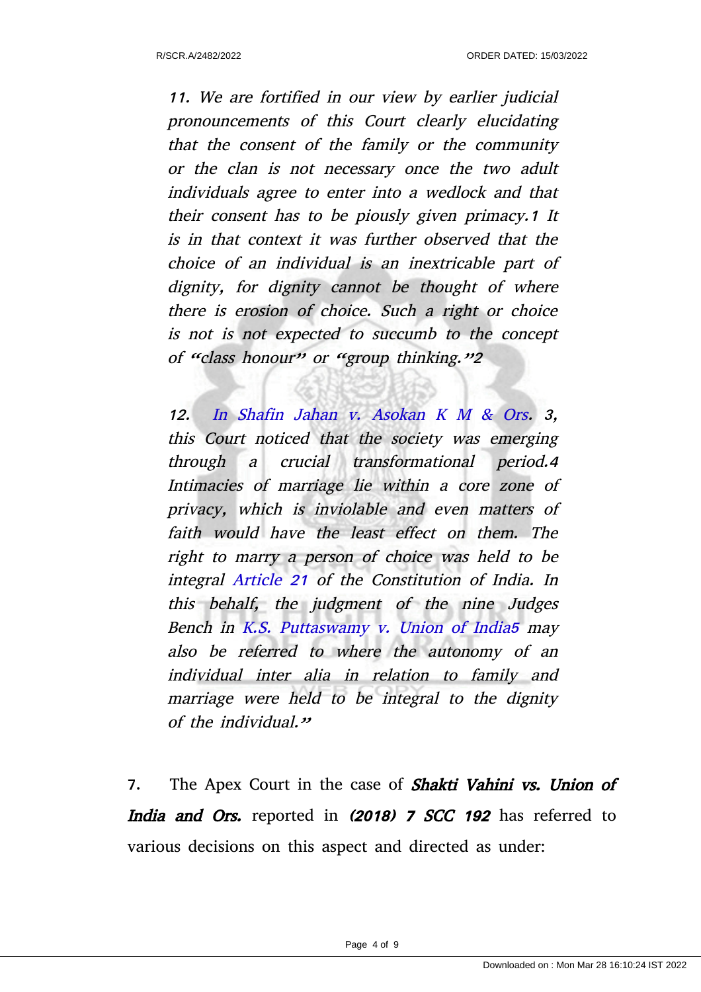11. We are fortified in our view by earlier judicial pronouncements of this Court clearly elucidating that the consent of the family or the community or the clan is not necessary once the two adult individuals agree to enter into a wedlock and that their consent has to be piously given primacy.1 It is in that context it was further observed that the choice of an individual is an inextricable part of dignity, for dignity cannot be thought of where there is erosion of choice. Such a right or choice is not is not expected to succumb to the concept of "class honour" or "group thinking."2

12. In Shafin Jahan v. Asokan K M & Ors. 3, this Court noticed that the society was emerging through <sup>a</sup> crucial transformational period.4 Intimacies of marriage lie within a core zone of privacy, which is inviolable and even matters of faith would have the least effect on them. The right to marry a person of choice was held to be integral Article 21 of the Constitution of India. In this behalf, the judgment of the nine Judges Bench in K.S. Puttaswamy v. Union of India5 may also be referred to where the autonomy of an individual inter alia in relation to family and marriage were held to be integral to the dignity of the individual."

7. The Apex Court in the case of **Shakti Vahini vs. Union of** India and Ors. reported in (2018) 7 SCC 192 has referred to various decisions on this aspect and directed as under: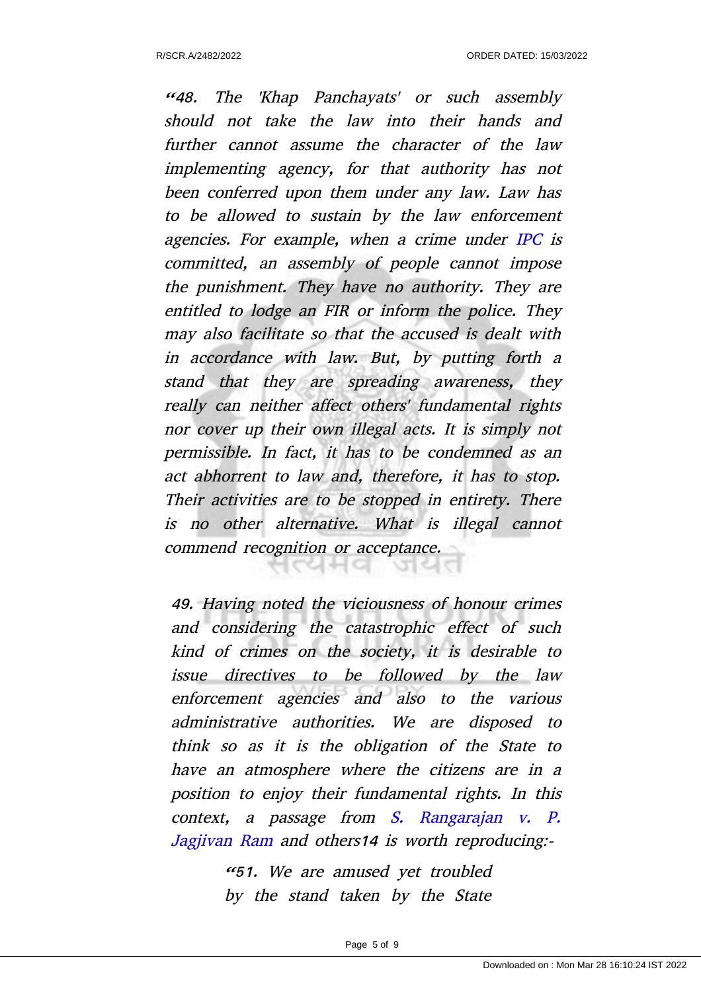"48. The 'Khap Panchayats' or such assembly should not take the law into their hands and further cannot assume the character of the law implementing agency, for that authority has not been conferred upon them under any law. Law has to be allowed to sustain by the law enforcement agencies. For example, when a crime under IPC is committed, an assembly of people cannot impose the punishment. They have no authority. They are entitled to lodge an FIR or inform the police. They may also facilitate so that the accused is dealt with in accordance with law. But, by putting forth <sup>a</sup> stand that they are spreading awareness, they really can neither affect others' fundamental rights nor cover up their own illegal acts. It is simply not permissible. In fact, it has to be condemned as an act abhorrent to law and, therefore, it has to stop. Their activities are to be stopped in entirety. There is no other alternative. What is illegal cannot commend recognition or acceptance.

49. Having noted the viciousness of honour crimes and considering the catastrophic effect of such kind of crimes on the society, it is desirable to issue directives to be followed by the law enforcement agencies and also to the various administrative authorities. We are disposed to think so as it is the obligation of the State to have an atmosphere where the citizens are in a position to enjoy their fundamental rights. In this context, <sup>a</sup> passage from S. Rangarajan v. P. Jagjivan Ram and others14 is worth reproducing:-

> "51. We are amused yet troubled by the stand taken by the State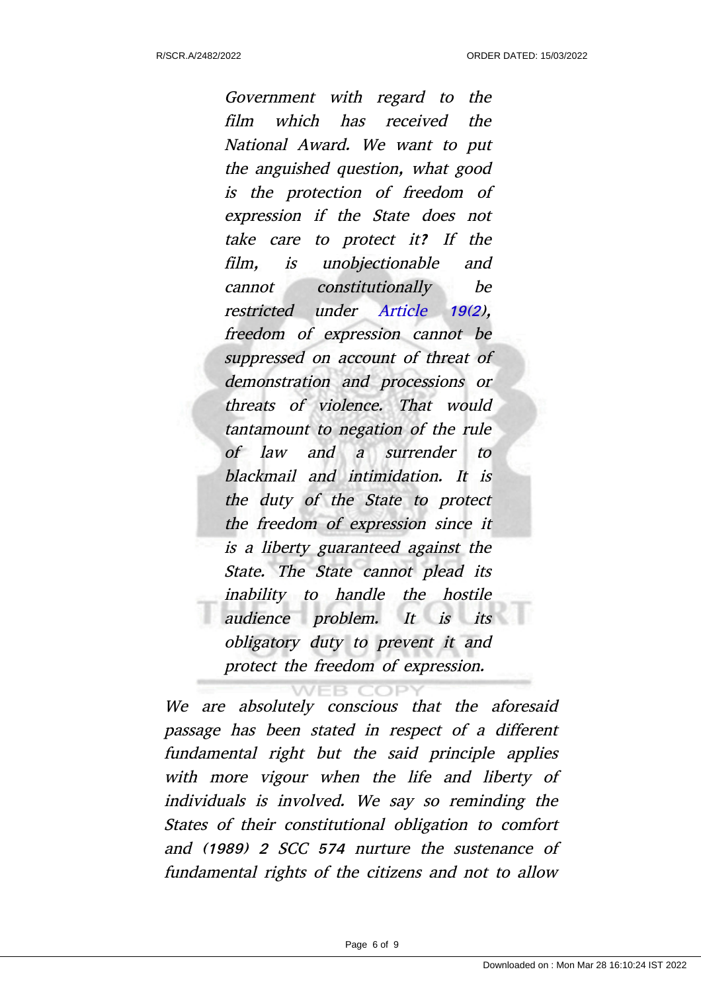Government with regard to the film which has received the National Award. We want to put the anguished question, what good is the protection of freedom of expression if the State does not take care to protect it? If the film, is unobjectionable and cannot constitutionally be restricted under Article 19(2), freedom of expression cannot be suppressed on account of threat of demonstration and processions or threats of violence. That would tantamount to negation of the rule of law and <sup>a</sup> surrender to blackmail and intimidation. It is the duty of the State to protect the freedom of expression since it is a liberty guaranteed against the State. The State cannot plead its inability to handle the hostile audience problem. It is its obligatory duty to prevent it and protect the freedom of expression.

We are absolutely conscious that the aforesaid passage has been stated in respect of a different fundamental right but the said principle applies with more vigour when the life and liberty of individuals is involved. We say so reminding the States of their constitutional obligation to comfort and (1989) 2 SCC 574 nurture the sustenance of fundamental rights of the citizens and not to allow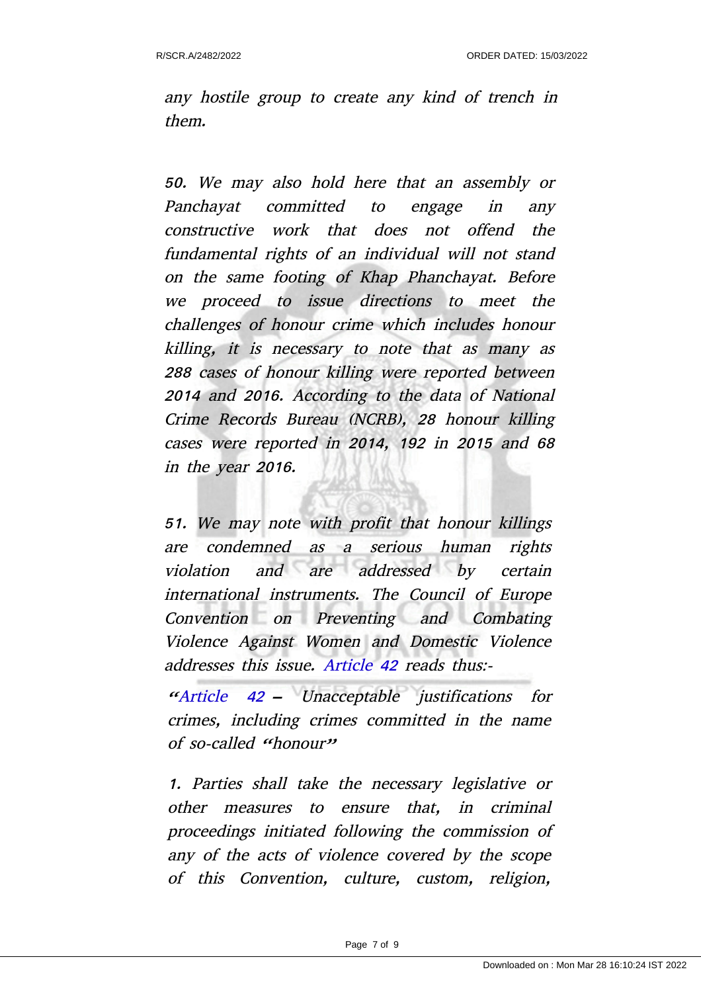any hostile group to create any kind of trench in them.

50. We may also hold here that an assembly or Panchayat committed to engage in any constructive work that does not offend the fundamental rights of an individual will not stand on the same footing of Khap Phanchayat. Before we proceed to issue directions to meet the challenges of honour crime which includes honour killing, it is necessary to note that as many as 288 cases of honour killing were reported between 2014 and 2016. According to the data of National Crime Records Bureau (NCRB), 28 honour killing cases were reported in 2014, 192 in 2015 and 68 in the year 2016.

51. We may note with profit that honour killings are condemned as <sup>a</sup> serious human rights violation and are addressed by certain international instruments. The Council of Europe Convention on Preventing and Combating Violence Against Women and Domestic Violence addresses this issue. Article 42 reads thus:-

"Article <sup>42</sup> – Unacceptable justifications for crimes, including crimes committed in the name of so-called  $<sup>th</sup>$  honourn</sup>

1. Parties shall take the necessary legislative or other measures to ensure that, in criminal proceedings initiated following the commission of any of the acts of violence covered by the scope of this Convention, culture, custom, religion,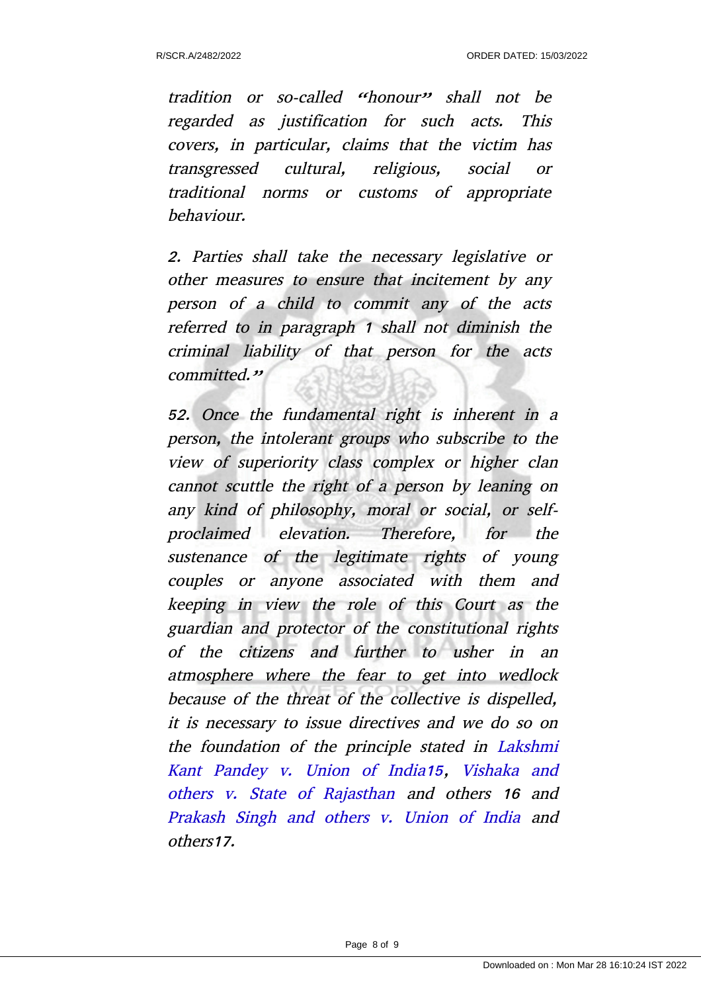tradition or so-called "honour" shall not be regarded as justification for such acts. This covers, in particular, claims that the victim has transgressed cultural, religious, social or traditional norms or customs of appropriate behaviour.

2. Parties shall take the necessary legislative or other measures to ensure that incitement by any person of <sup>a</sup> child to commit any of the acts referred to in paragraph 1 shall not diminish the criminal liability of that person for the acts committed."

52. Once the fundamental right is inherent in a person, the intolerant groups who subscribe to the view of superiority class complex or higher clan cannot scuttle the right of a person by leaning on any kind of philosophy, moral or social, or selfproclaimed elevation. Therefore, for the sustenance of the legitimate rights of young couples or anyone associated with them and keeping in view the role of this Court as the guardian and protector of the constitutional rights of the citizens and further to usher in an atmosphere where the fear to get into wedlock because of the threat of the collective is dispelled, it is necessary to issue directives and we do so on the foundation of the principle stated in Lakshmi Kant Pandey v. Union of India15, Vishaka and others v. State of Rajasthan and others <sup>16</sup> and Prakash Singh and others v. Union of India and others17.